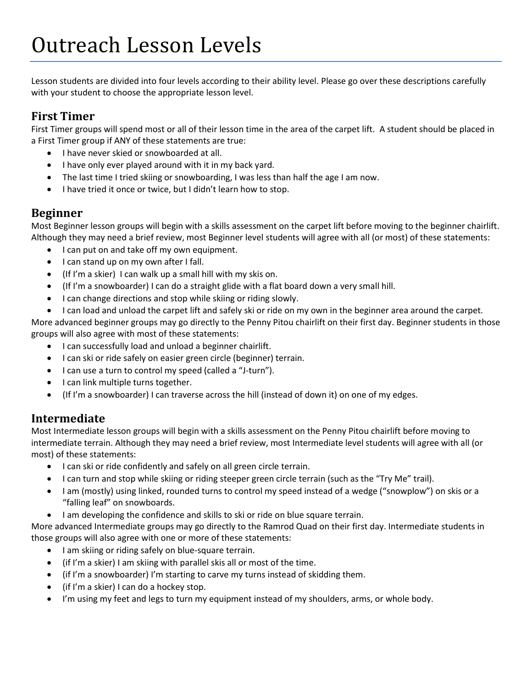Lesson students are divided into four levels according to their ability level. Please go over these descriptions carefully with your student to choose the appropriate lesson level.

## **First Timer**

First Timer groups will spend most or all of their lesson time in the area of the carpet lift. A student should be placed in a First Timer group if ANY of these statements are true:

- I have never skied or snowboarded at all.
- I have only ever played around with it in my back yard.
- The last time I tried skiing or snowboarding, I was less than half the age I am now.
- I have tried it once or twice, but I didn't learn how to stop.

## **Beginner**

Most Beginner lesson groups will begin with a skills assessment on the carpet lift before moving to the beginner chairlift. Although they may need a brief review, most Beginner level students will agree with all (or most) of these statements:

- I can put on and take off my own equipment.
- I can stand up on my own after I fall.
- (If I'm a skier) I can walk up a small hill with my skis on.
- (If I'm a snowboarder) I can do a straight glide with a flat board down a very small hill.
- I can change directions and stop while skiing or riding slowly.
- I can load and unload the carpet lift and safely ski or ride on my own in the beginner area around the carpet.

More advanced beginner groups may go directly to the Penny Pitou chairlift on their first day. Beginner students in those groups will also agree with most of these statements:

- I can successfully load and unload a beginner chairlift.
- I can ski or ride safely on easier green circle (beginner) terrain.
- I can use a turn to control my speed (called a "J-turn").
- I can link multiple turns together.
- (If I'm a snowboarder) I can traverse across the hill (instead of down it) on one of my edges.

## **Intermediate**

Most Intermediate lesson groups will begin with a skills assessment on the Penny Pitou chairlift before moving to intermediate terrain. Although they may need a brief review, most Intermediate level students will agree with all (or most) of these statements:

- I can ski or ride confidently and safely on all green circle terrain.
- I can turn and stop while skiing or riding steeper green circle terrain (such as the "Try Me" trail).
- I am (mostly) using linked, rounded turns to control my speed instead of a wedge ("snowplow") on skis or a "falling leaf" on snowboards.
- I am developing the confidence and skills to ski or ride on blue square terrain.

More advanced Intermediate groups may go directly to the Ramrod Quad on their first day. Intermediate students in those groups will also agree with one or more of these statements:

- I am skiing or riding safely on blue-square terrain.
- (if I'm a skier) I am skiing with parallel skis all or most of the time.
- (if I'm a snowboarder) I'm starting to carve my turns instead of skidding them.
- (if I'm a skier) I can do a hockey stop.
- I'm using my feet and legs to turn my equipment instead of my shoulders, arms, or whole body.